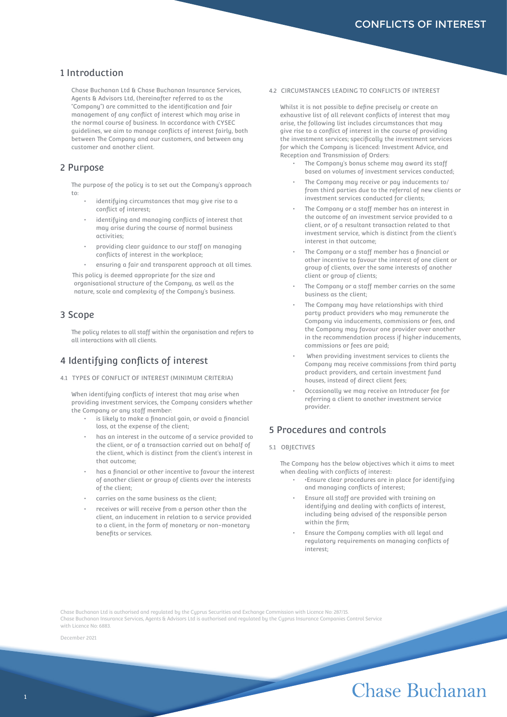# 1 Introduction

Chase Buchanan Ltd & Chase Buchanan Insurance Services, Agents & Advisors Ltd, (hereinafter referred to as the "Company") are committed to the identification and fair management of any conflict of interest which may arise in the normal course of business. In accordance with CYSEC guidelines, we aim to manage conflicts of interest fairly, both between The Company and our customers, and between any customer and another client.

## 2 Purpose

The purpose of the policy is to set out the Company's approach to:

- identifying circumstances that may give rise to a conflict of interest;
- identifying and managing conflicts of interest that may arise during the course of normal business activities;
- providing clear guidance to our staff on managing conflicts of interest in the workplace;
- ensuring a fair and transparent approach at all times.

This policy is deemed appropriate for the size and organisational structure of the Company, as well as the nature, scale and complexity of the Company's business.

## 3 Scope

The policy relates to all staff within the organisation and refers to all interactions with all clients.

# 4 Identifying conflicts of interest

4.1 TYPES OF CONFLICT OF INTEREST (MINIMUM CRITERIA)

When identifying conflicts of interest that may arise when providing investment services, the Company considers whether the Company or any staff member:

- is likely to make a financial gain, or avoid a financial loss, at the expense of the client;
- has an interest in the outcome of a service provided to the client, or of a transaction carried out on behalf of the client, which is distinct from the client's interest in that outcome;
- has a financial or other incentive to favour the interest of another client or group of clients over the interests of the client;
- carries on the same business as the client;
- receives or will receive from a person other than the client, an inducement in relation to a service provided to a client, in the form of monetary or non-monetary benefits or services.

#### 4.2 CIRCUMSTANCES LEADING TO CONFLICTS OF INTEREST

Whilst it is not possible to define precisely or create an exhaustive list of all relevant conflicts of interest that may arise, the following list includes circumstances that may give rise to a conflict of interest in the course of providing the investment services; specifically the investment services for which the Company is licenced: Investment Advice, and Reception and Transmission of Orders:

- The Company's bonus scheme may award its staff based on volumes of investment services conducted;
- The Company may receive or pay inducements to/ from third parties due to the referral of new clients or investment services conducted for clients;
- The Company or a staff member has an interest in the outcome of an investment service provided to a client, or of a resultant transaction related to that investment service, which is distinct from the client's interest in that outcome;
- The Company or a staff member has a financial or other incentive to favour the interest of one client or group of clients, over the same interests of another client or group of clients;
- The Company or a staff member carries on the same business as the client;
- The Company may have relationships with third party product providers who may remunerate the Company via inducements, commissions or fees, and the Company may favour one provider over another in the recommendation process if higher inducements, commissions or fees are paid;
- When providing investment services to clients the Company may receive commissions from third party product providers, and certain investment fund houses, instead of direct client fees;
- Occasionally we may receive an Introducer fee for referring a client to another investment service provider.

## 5 Procedures and controls

5.1 OBJECTIVES

The Company has the below objectives which it aims to meet when dealing with conflicts of interest:

- •Ensure clear procedures are in place for identifying and managing conflicts of interest;
- Ensure all staff are provided with training on identifying and dealing with conflicts of interest, including being advised of the responsible person within the firm;
- Ensure the Company complies with all legal and regulatory requirements on managing conflicts of interest;

Chase Buchanan Ltd is authorised and regulated by the Cyprus Securities and Exchange Commission with Licence No: 287/15. Chase Buchanan Insurance Services, Agents & Advisors Ltd is authorised and regulated by the Cyprus Insurance Companies Control Service with Licence No: 6883.

December 2021

# Chase Buchanan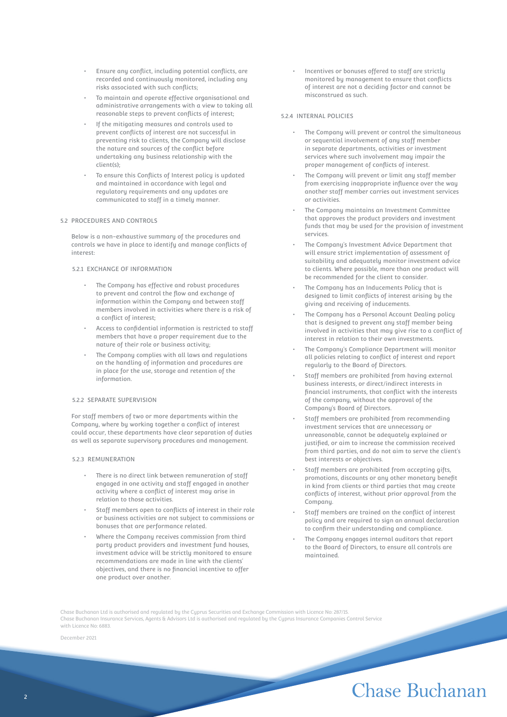- Ensure any conflict, including potential conflicts, are recorded and continuously monitored, including any risks associated with such conflicts;
- To maintain and operate effective organisational and administrative arrangements with a view to taking all reasonable steps to prevent conflicts of interest;
- If the mitigating measures and controls used to prevent conflicts of interest are not successful in preventing risk to clients, the Company will disclose the nature and sources of the conflict before undertaking any business relationship with the client(s);
- To ensure this Conflicts of Interest policy is updated and maintained in accordance with legal and regulatory requirements and any updates are communicated to staff in a timely manner.

### 5.2 PROCEDURES AND CONTROLS

Below is a non-exhaustive summary of the procedures and controls we have in place to identify and manage conflicts of interest:

#### 5.2.1 EXCHANGE OF INFORMATION

- The Company has effective and robust procedures to prevent and control the flow and exchange of information within the Company and between staff members involved in activities where there is a risk of a conflict of interest;
- Access to confidential information is restricted to staff members that have a proper requirement due to the nature of their role or business activity;
- The Company complies with all laws and regulations on the handling of information and procedures are in place for the use, storage and retention of the information.

#### 5.2.2 SEPARATE SUPERVISION

For staff members of two or more departments within the Company, where by working together a conflict of interest could occur, these departments have clear separation of duties as well as separate supervisory procedures and management.

#### 5.2.3 REMUNERATION

- There is no direct link between remuneration of staff engaged in one activity and staff engaged in another activity where a conflict of interest may arise in relation to those activities.
- Staff members open to conflicts of interest in their role or business activities are not subject to commissions or bonuses that are performance related.
- Where the Company receives commission from third party product providers and investment fund houses, investment advice will be strictly monitored to ensure recommendations are made in line with the clients' objectives, and there is no financial incentive to offer one product over another.

• Incentives or bonuses offered to staff are strictly monitored by management to ensure that conflicts of interest are not a deciding factor and cannot be misconstrued as such.

#### 5.2.4 INTERNAL POLICIES

- The Company will prevent or control the simultaneous or sequential involvement of any staff member in separate departments, activities or investment services where such involvement may impair the proper management of conflicts of interest.
- The Company will prevent or limit any staff member from exercising inappropriate influence over the way another staff member carries out investment services or activities.
- The Company maintains an Investment Committee that approves the product providers and investment funds that may be used for the provision of investment services.
- The Company's Investment Advice Department that will ensure strict implementation of assessment of suitability and adequately monitor investment advice to clients. Where possible, more than one product will be recommended for the client to consider.
- The Company has an Inducements Policy that is designed to limit conflicts of interest arising by the giving and receiving of inducements.
- The Company has a Personal Account Dealing policy that is designed to prevent any staff member being involved in activities that may give rise to a conflict of interest in relation to their own investments.
- The Company's Compliance Department will monitor all policies relating to conflict of interest and report regularly to the Board of Directors.
- Staff members are prohibited from having external business interests, or direct/indirect interests in financial instruments, that conflict with the interests of the company, without the approval of the Company's Board of Directors.
- Staff members are prohibited from recommending investment services that are unnecessary or unreasonable, cannot be adequately explained or justified, or aim to increase the commission received from third parties, and do not aim to serve the client's best interests or objectives.
- Staff members are prohibited from accepting gifts, promotions, discounts or any other monetary benefit in kind from clients or third parties that may create conflicts of interest, without prior approval from the Company.
- Staff members are trained on the conflict of interest policy and are required to sign an annual declaration to confirm their understanding and compliance.
- The Company engages internal auditors that report to the Board of Directors, to ensure all controls are maintained.

Chase Buchanan Ltd is authorised and regulated by the Cyprus Securities and Exchange Commission with Licence No: 287/15. Chase Buchanan Insurance Services, Agents & Advisors Ltd is authorised and regulated by the Cyprus Insurance Companies Control Service with Licence No: 6883.

December 2021

# Chase Buchanan